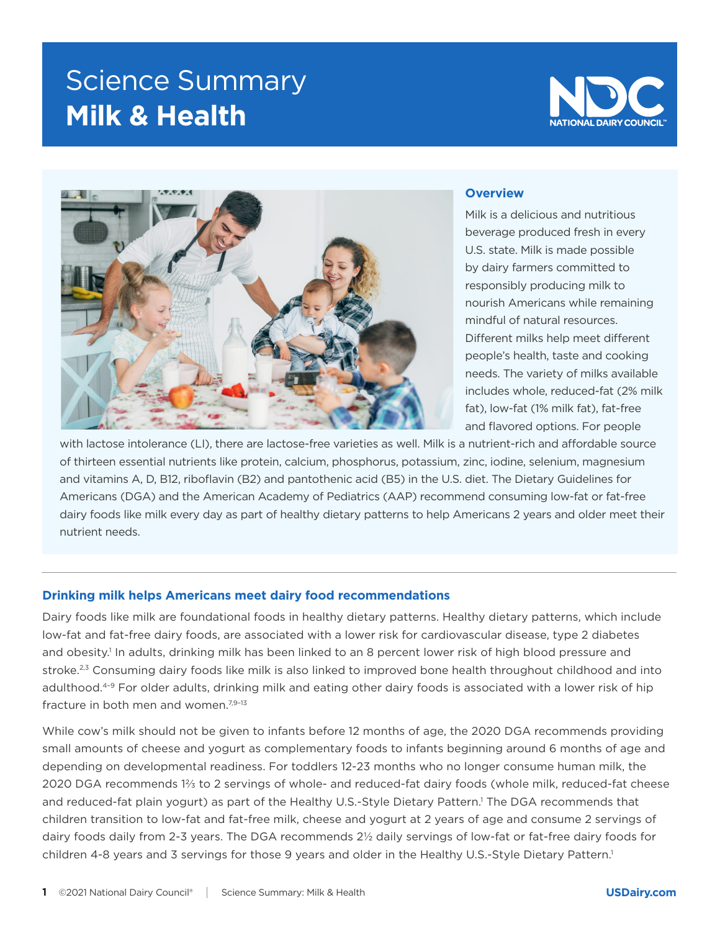# Science Summary **Milk & Health**





### **Overview**

Milk is a delicious and nutritious beverage produced fresh in every U.S. state. Milk is made possible by dairy farmers committed to responsibly producing milk to nourish Americans while remaining mindful of natural resources. Different milks help meet different people's health, taste and cooking needs. The variety of milks available includes whole, reduced-fat (2% milk fat), low-fat (1% milk fat), fat-free and flavored options. For people

with lactose intolerance (LI), there are lactose-free varieties as well. Milk is a nutrient-rich and affordable source of thirteen essential nutrients like protein, calcium, phosphorus, potassium, zinc, iodine, selenium, magnesium and vitamins A, D, B12, riboflavin (B2) and pantothenic acid (B5) in the U.S. diet. The Dietary Guidelines for Americans (DGA) and the American Academy of Pediatrics (AAP) recommend consuming low-fat or fat-free dairy foods like milk every day as part of healthy dietary patterns to help Americans 2 years and older meet their nutrient needs.

# **Drinking milk helps Americans meet dairy food recommendations**

Dairy foods like milk are foundational foods in healthy dietary patterns. Healthy dietary patterns, which include low-fat and fat-free dairy foods, are associated with a lower risk for cardiovascular disease, type 2 diabetes and obesity.<sup>1</sup> In adults, drinking milk has been linked to an 8 percent lower risk of high blood pressure and stroke.<sup>2,3</sup> Consuming dairy foods like milk is also linked to improved bone health throughout childhood and into adulthood.<sup>4-9</sup> For older adults, drinking milk and eating other dairy foods is associated with a lower risk of hip fracture in both men and women.<sup>7,9-13</sup>

While cow's milk should not be given to infants before 12 months of age, the 2020 DGA recommends providing small amounts of cheese and yogurt as complementary foods to infants beginning around 6 months of age and depending on developmental readiness. For toddlers 12-23 months who no longer consume human milk, the 2020 DGA recommends 1⅔ to 2 servings of whole- and reduced-fat dairy foods (whole milk, reduced-fat cheese and reduced-fat plain yogurt) as part of the Healthy U.S.-Style Dietary Pattern.<sup>1</sup> The DGA recommends that children transition to low-fat and fat-free milk, cheese and yogurt at 2 years of age and consume 2 servings of dairy foods daily from 2-3 years. The DGA recommends 2½ daily servings of low-fat or fat-free dairy foods for children 4-8 years and 3 servings for those 9 years and older in the Healthy U.S.-Style Dietary Pattern.<sup>1</sup>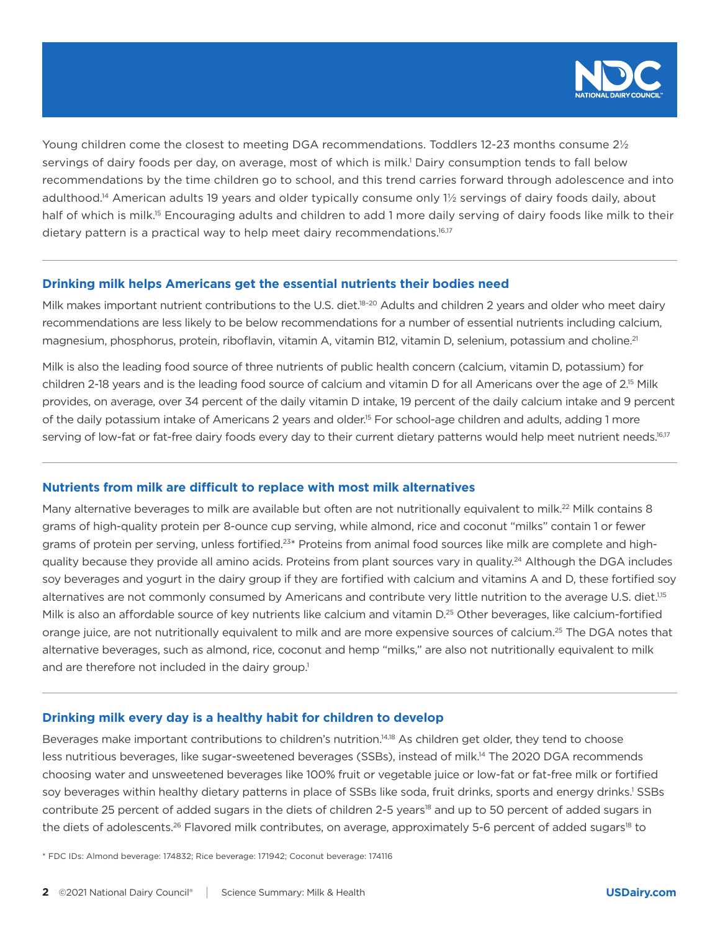

Young children come the closest to meeting DGA recommendations. Toddlers 12-23 months consume 2½ servings of dairy foods per day, on average, most of which is milk.<sup>1</sup> Dairy consumption tends to fall below recommendations by the time children go to school, and this trend carries forward through adolescence and into adulthood.14 American adults 19 years and older typically consume only 1½ servings of dairy foods daily, about half of which is milk.<sup>15</sup> Encouraging adults and children to add 1 more daily serving of dairy foods like milk to their dietary pattern is a practical way to help meet dairy recommendations.<sup>16,17</sup>

## **Drinking milk helps Americans get the essential nutrients their bodies need**

Milk makes important nutrient contributions to the U.S. diet.<sup>18-20</sup> Adults and children 2 years and older who meet dairy recommendations are less likely to be below recommendations for a number of essential nutrients including calcium, magnesium, phosphorus, protein, riboflavin, vitamin A, vitamin B12, vitamin D, selenium, potassium and choline.<sup>21</sup>

Milk is also the leading food source of three nutrients of public health concern (calcium, vitamin D, potassium) for children 2-18 years and is the leading food source of calcium and vitamin D for all Americans over the age of 2.<sup>15</sup> Milk provides, on average, over 34 percent of the daily vitamin D intake, 19 percent of the daily calcium intake and 9 percent of the daily potassium intake of Americans 2 years and older.<sup>15</sup> For school-age children and adults, adding 1 more serving of low-fat or fat-free dairy foods every day to their current dietary patterns would help meet nutrient needs.<sup>16,17</sup>

# **Nutrients from milk are difficult to replace with most milk alternatives**

Many alternative beverages to milk are available but often are not nutritionally equivalent to milk.<sup>22</sup> Milk contains 8 grams of high-quality protein per 8-ounce cup serving, while almond, rice and coconut "milks" contain 1 or fewer grams of protein per serving, unless fortified.<sup>23\*</sup> Proteins from animal food sources like milk are complete and highquality because they provide all amino acids. Proteins from plant sources vary in quality.<sup>24</sup> Although the DGA includes soy beverages and yogurt in the dairy group if they are fortified with calcium and vitamins A and D, these fortified soy alternatives are not commonly consumed by Americans and contribute very little nutrition to the average U.S. diet.<sup>1,15</sup> Milk is also an affordable source of key nutrients like calcium and vitamin D.<sup>25</sup> Other beverages, like calcium-fortified orange juice, are not nutritionally equivalent to milk and are more expensive sources of calcium.<sup>25</sup> The DGA notes that alternative beverages, such as almond, rice, coconut and hemp "milks," are also not nutritionally equivalent to milk and are therefore not included in the dairy group.<sup>1</sup>

#### **Drinking milk every day is a healthy habit for children to develop**

Beverages make important contributions to children's nutrition.14,18 As children get older, they tend to choose less nutritious beverages, like sugar-sweetened beverages (SSBs), instead of milk.14 The 2020 DGA recommends choosing water and unsweetened beverages like 100% fruit or vegetable juice or low-fat or fat-free milk or fortified soy beverages within healthy dietary patterns in place of SSBs like soda, fruit drinks, sports and energy drinks.<sup>1</sup> SSBs contribute 25 percent of added sugars in the diets of children 2-5 years<sup>18</sup> and up to 50 percent of added sugars in the diets of adolescents.<sup>26</sup> Flavored milk contributes, on average, approximately 5-6 percent of added sugars<sup>18</sup> to

\* FDC IDs: Almond beverage: 174832; Rice beverage: 171942; Coconut beverage: 174116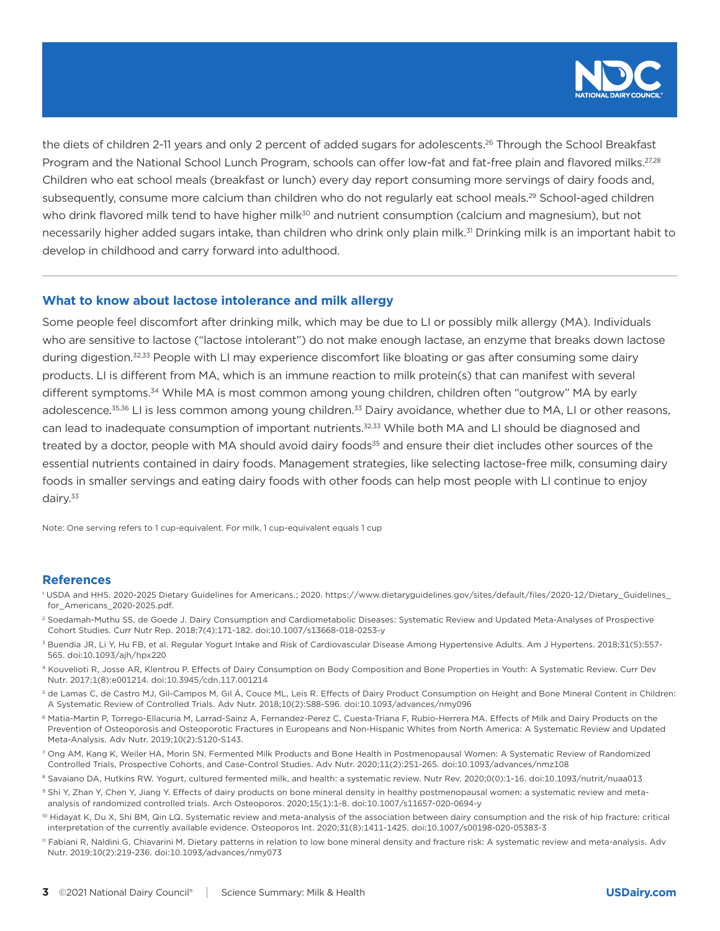

the diets of children 2-11 years and only 2 percent of added sugars for adolescents.<sup>26</sup> Through the School Breakfast Program and the National School Lunch Program, schools can offer low-fat and fat-free plain and flavored milks.<sup>27,28</sup> Children who eat school meals (breakfast or lunch) every day report consuming more servings of dairy foods and, subsequently, consume more calcium than children who do not regularly eat school meals.<sup>29</sup> School-aged children who drink flavored milk tend to have higher milk<sup>30</sup> and nutrient consumption (calcium and magnesium), but not necessarily higher added sugars intake, than children who drink only plain milk.<sup>31</sup> Drinking milk is an important habit to develop in childhood and carry forward into adulthood.

#### **What to know about lactose intolerance and milk allergy**

Some people feel discomfort after drinking milk, which may be due to LI or possibly milk allergy (MA). Individuals who are sensitive to lactose ("lactose intolerant") do not make enough lactase, an enzyme that breaks down lactose during digestion.<sup>32,33</sup> People with LI may experience discomfort like bloating or gas after consuming some dairy products. LI is different from MA, which is an immune reaction to milk protein(s) that can manifest with several different symptoms.<sup>34</sup> While MA is most common among young children, children often "outgrow" MA by early adolescence.<sup>35,36</sup> LI is less common among young children.<sup>33</sup> Dairy avoidance, whether due to MA, LI or other reasons, can lead to inadequate consumption of important nutrients.<sup>32,33</sup> While both MA and LI should be diagnosed and treated by a doctor, people with MA should avoid dairy foods<sup>35</sup> and ensure their diet includes other sources of the essential nutrients contained in dairy foods. Management strategies, like selecting lactose-free milk, consuming dairy foods in smaller servings and eating dairy foods with other foods can help most people with LI continue to enjoy dairy.<sup>33</sup>

Note: One serving refers to 1 cup-equivalent. For milk, 1 cup-equivalent equals 1 cup

#### **References**

- 1 USDA and HHS. 2020-2025 Dietary Guidelines for Americans.; 2020. https://www.dietaryguidelines.gov/sites/default/files/2020-12/Dietary\_Guidelines\_ for\_Americans\_2020-2025.pdf.
- 2 Soedamah-Muthu SS, de Goede J. Dairy Consumption and Cardiometabolic Diseases: Systematic Review and Updated Meta-Analyses of Prospective Cohort Studies. Curr Nutr Rep. 2018;7(4):171-182. doi:10.1007/s13668-018-0253-y
- <sup>3</sup> Buendia JR, Li Y, Hu FB, et al. Regular Yogurt Intake and Risk of Cardiovascular Disease Among Hypertensive Adults. Am J Hypertens. 2018;31(5):557-565. doi:10.1093/ajh/hpx220
- 4 Kouvelioti R, Josse AR, Klentrou P. Effects of Dairy Consumption on Body Composition and Bone Properties in Youth: A Systematic Review. Curr Dev Nutr. 2017;1(8):e001214. doi:10.3945/cdn.117.001214
- 5 de Lamas C, de Castro MJ, Gil-Campos M, Gil Á, Couce ML, Leis R. Effects of Dairy Product Consumption on Height and Bone Mineral Content in Children: A Systematic Review of Controlled Trials. Adv Nutr. 2018;10(2):S88-S96. doi:10.1093/advances/nmy096
- 6 Matia-Martin P, Torrego-Ellacuria M, Larrad-Sainz A, Fernandez-Perez C, Cuesta-Triana F, Rubio-Herrera MA. Effects of Milk and Dairy Products on the Prevention of Osteoporosis and Osteoporotic Fractures in Europeans and Non-Hispanic Whites from North America: A Systematic Review and Updated Meta-Analysis. Adv Nutr. 2019;10(2):S120-S143.
- 7 Ong AM, Kang K, Weiler HA, Morin SN. Fermented Milk Products and Bone Health in Postmenopausal Women: A Systematic Review of Randomized Controlled Trials, Prospective Cohorts, and Case-Control Studies. Adv Nutr. 2020;11(2):251-265. doi:10.1093/advances/nmz108
- 8 Savaiano DA, Hutkins RW. Yogurt, cultured fermented milk, and health: a systematic review. Nutr Rev. 2020;0(0):1-16. doi:10.1093/nutrit/nuaa013
- 9 Shi Y, Zhan Y, Chen Y, Jiang Y. Effects of dairy products on bone mineral density in healthy postmenopausal women: a systematic review and metaanalysis of randomized controlled trials. Arch Osteoporos. 2020;15(1):1-8. doi:10.1007/s11657-020-0694-y
- <sup>10</sup> Hidayat K, Du X, Shi BM, Qin LQ. Systematic review and meta-analysis of the association between dairy consumption and the risk of hip fracture: critical interpretation of the currently available evidence. Osteoporos Int. 2020;31(8):1411-1425. doi:10.1007/s00198-020-05383-3
- 11 Fabiani R, Naldini G, Chiavarini M. Dietary patterns in relation to low bone mineral density and fracture risk: A systematic review and meta-analysis. Adv Nutr. 2019;10(2):219-236. doi:10.1093/advances/nmy073